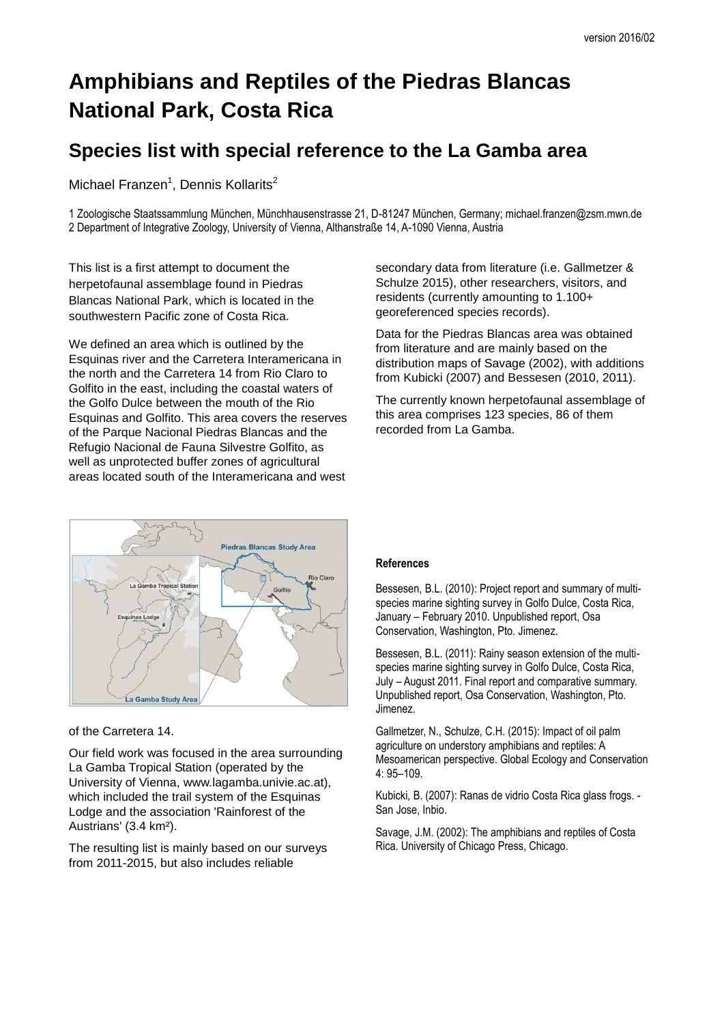## **Amphibians and Reptiles of the Piedras Blancas National Park, Costa Rica**

## **Species list with special reference to the La Gamba area**

Michael Franzen<sup>1</sup>, Dennis Kollarits<sup>2</sup>

1 Zoologische Staatssammlung München, Münchhausenstrasse 21, D-81247 München, Germany; michael.franzen@zsm.mwn.de 2 Department of Integrative Zoology, University of Vienna, Althanstraße 14, A-1090 Vienna, Austria

This list is a first attempt to document the herpetofaunal assemblage found in Piedras Blancas National Park, which is located in the southwestern Pacific zone of Costa Rica.

We defined an area which is outlined by the Esquinas river and the Carretera Interamericana in the north and the Carretera 14 from Rio Claro to Golfito in the east, including the coastal waters of the Golfo Dulce between the mouth of the Rio Esquinas and Golfito. This area covers the reserves of the Parque Nacional Piedras Blancas and the Refugio Nacional de Fauna Silvestre Golfito, as well as unprotected buffer zones of agricultural areas located south of the Interamericana and west

secondary data from literature (i.e. Gallmetzer & Schulze 2015), other researchers, visitors, and residents (currently amounting to 1.100+ georeferenced species records).

Data for the Piedras Blancas area was obtained from literature and are mainly based on the distribution maps of Savage (2002), with additions from Kubicki (2007) and Bessesen (2010, 2011).

The currently known herpetofaunal assemblage of this area comprises 123 species, 86 of them recorded from La Gamba.



of the Carretera 14.

Our field work was focused in the area surrounding La Gamba Tropical Station (operated by the University of Vienna, www.lagamba.univie.ac.at), which included the trail system of the Esquinas Lodge and the association 'Rainforest of the Austrians' (3.4 km²).

The resulting list is mainly based on our surveys from 2011-2015, but also includes reliable

## **References**

Bessesen, B.L. (2010): Project report and summary of multispecies marine sighting survey in Golfo Dulce, Costa Rica, January – February 2010. Unpublished report, Osa Conservation, Washington, Pto. Jimenez.

Bessesen, B.L. (2011): Rainy season extension of the multispecies marine sighting survey in Golfo Dulce, Costa Rica, July – August 2011. Final report and comparative summary. Unpublished report, Osa Conservation, Washington, Pto. Jimenez.

Gallmetzer, N., Schulze, C.H. (2015): Impact of oil palm agriculture on understory amphibians and reptiles: A Mesoamerican perspective. Global Ecology and Conservation 4: 95–109.

Kubicki, B. (2007): Ranas de vidrio Costa Rica glass frogs. - San Jose, Inbio.

Savage, J.M. (2002): The amphibians and reptiles of Costa Rica. University of Chicago Press, Chicago.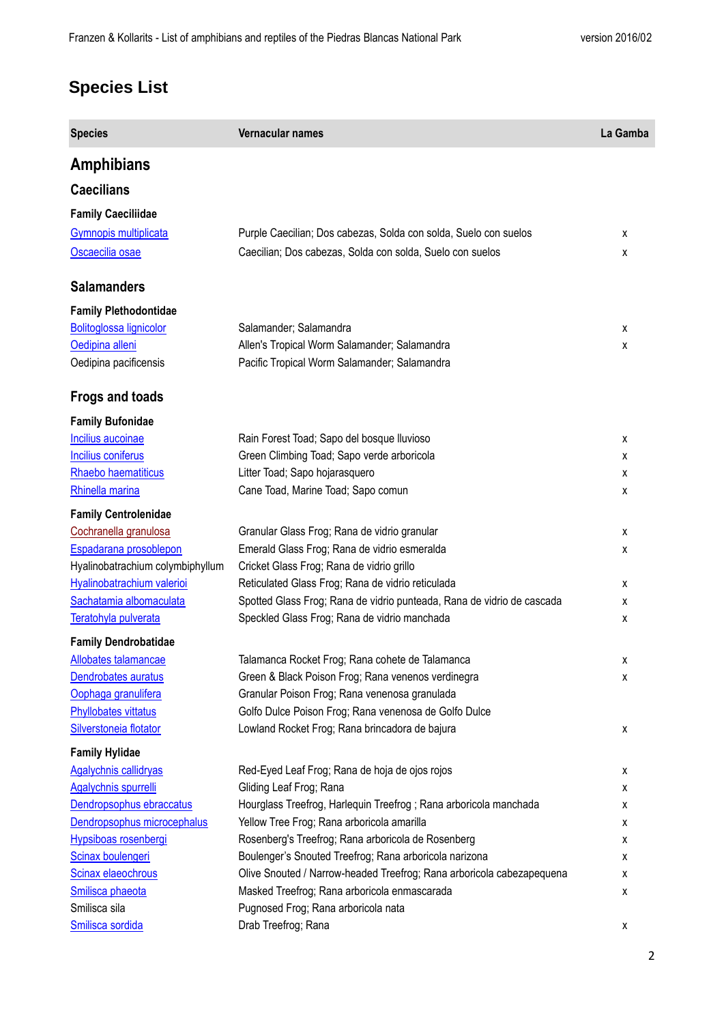## **Species List**

| <b>Species</b>                   | Vernacular names                                                       | La Gamba |
|----------------------------------|------------------------------------------------------------------------|----------|
| <b>Amphibians</b>                |                                                                        |          |
| <b>Caecilians</b>                |                                                                        |          |
| <b>Family Caeciliidae</b>        |                                                                        |          |
| Gymnopis multiplicata            | Purple Caecilian; Dos cabezas, Solda con solda, Suelo con suelos       | x        |
| Oscaecilia osae                  | Caecilian; Dos cabezas, Solda con solda, Suelo con suelos              | x        |
|                                  |                                                                        |          |
| <b>Salamanders</b>               |                                                                        |          |
| <b>Family Plethodontidae</b>     |                                                                        |          |
| Bolitoglossa lignicolor          | Salamander; Salamandra                                                 | x        |
| Oedipina alleni                  | Allen's Tropical Worm Salamander; Salamandra                           | x        |
| Oedipina pacificensis            | Pacific Tropical Worm Salamander; Salamandra                           |          |
|                                  |                                                                        |          |
| Frogs and toads                  |                                                                        |          |
| <b>Family Bufonidae</b>          |                                                                        |          |
| Incilius aucoinae                | Rain Forest Toad; Sapo del bosque lluvioso                             | x        |
| <b>Incilius coniferus</b>        | Green Climbing Toad; Sapo verde arboricola                             | x        |
| Rhaebo haematiticus              | Litter Toad; Sapo hojarasquero                                         | x        |
| Rhinella marina                  | Cane Toad, Marine Toad; Sapo comun                                     | x        |
| <b>Family Centrolenidae</b>      |                                                                        |          |
| Cochranella granulosa            | Granular Glass Frog; Rana de vidrio granular                           | x        |
| Espadarana prosoblepon           | Emerald Glass Frog; Rana de vidrio esmeralda                           | x        |
| Hyalinobatrachium colymbiphyllum | Cricket Glass Frog; Rana de vidrio grillo                              |          |
| Hyalinobatrachium valerioi       | Reticulated Glass Frog; Rana de vidrio reticulada                      | x        |
| Sachatamia albomaculata          | Spotted Glass Frog; Rana de vidrio punteada, Rana de vidrio de cascada | x        |
| Teratohyla pulverata             | Speckled Glass Frog; Rana de vidrio manchada                           | x        |
| <b>Family Dendrobatidae</b>      |                                                                        |          |
| Allobates talamancae             | Talamanca Rocket Frog; Rana cohete de Talamanca                        | χ        |
| Dendrobates auratus              | Green & Black Poison Frog; Rana venenos verdinegra                     | х        |
| Oophaga granulifera              | Granular Poison Frog; Rana venenosa granulada                          |          |
| <b>Phyllobates vittatus</b>      | Golfo Dulce Poison Frog; Rana venenosa de Golfo Dulce                  |          |
| Silverstoneia flotator           | Lowland Rocket Frog; Rana brincadora de bajura                         | x        |
| <b>Family Hylidae</b>            |                                                                        |          |
| <b>Agalychnis callidryas</b>     | Red-Eyed Leaf Frog; Rana de hoja de ojos rojos                         | x        |
| Agalychnis spurrelli             | Gliding Leaf Frog; Rana                                                | x        |
| Dendropsophus ebraccatus         | Hourglass Treefrog, Harlequin Treefrog; Rana arboricola manchada       | x        |
| Dendropsophus microcephalus      | Yellow Tree Frog; Rana arboricola amarilla                             | x        |
| Hypsiboas rosenbergi             | Rosenberg's Treefrog; Rana arboricola de Rosenberg                     | x        |
| Scinax boulengeri                | Boulenger's Snouted Treefrog; Rana arboricola narizona                 | x        |
| Scinax elaeochrous               | Olive Snouted / Narrow-headed Treefrog; Rana arboricola cabezapequena  | x        |
| Smilisca phaeota                 | Masked Treefrog; Rana arboricola enmascarada                           | x        |
| Smilisca sila                    | Pugnosed Frog; Rana arboricola nata                                    |          |
| Smilisca sordida                 | Drab Treefrog; Rana                                                    | х        |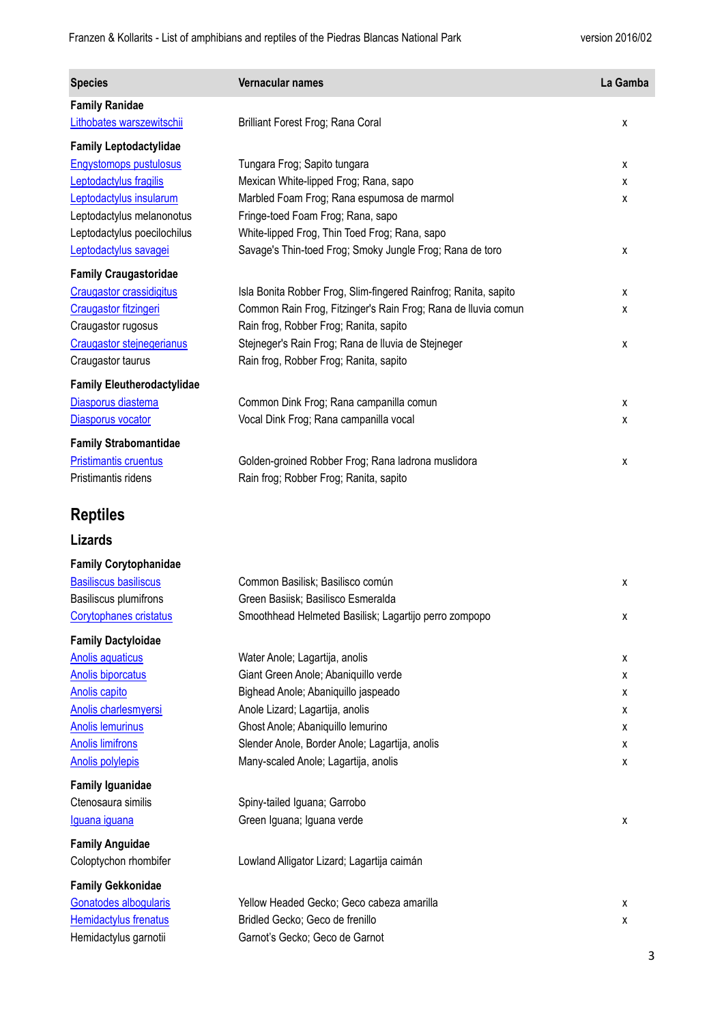| <b>Species</b>                    | Vernacular names                                                | La Gamba |
|-----------------------------------|-----------------------------------------------------------------|----------|
| <b>Family Ranidae</b>             |                                                                 |          |
| Lithobates warszewitschii         | Brilliant Forest Frog; Rana Coral                               | x        |
| <b>Family Leptodactylidae</b>     |                                                                 |          |
| <b>Engystomops pustulosus</b>     | Tungara Frog; Sapito tungara                                    | х        |
| Leptodactylus fragilis            | Mexican White-lipped Frog; Rana, sapo                           | x        |
| Leptodactylus insularum           | Marbled Foam Frog; Rana espumosa de marmol                      | х        |
| Leptodactylus melanonotus         | Fringe-toed Foam Frog; Rana, sapo                               |          |
| Leptodactylus poecilochilus       | White-lipped Frog, Thin Toed Frog; Rana, sapo                   |          |
| Leptodactylus savagei             | Savage's Thin-toed Frog; Smoky Jungle Frog; Rana de toro        | x        |
| <b>Family Craugastoridae</b>      |                                                                 |          |
| Craugastor crassidigitus          | Isla Bonita Robber Frog, Slim-fingered Rainfrog; Ranita, sapito | x        |
| <b>Craugastor fitzingeri</b>      | Common Rain Frog, Fitzinger's Rain Frog; Rana de lluvia comun   | x        |
| Craugastor rugosus                | Rain frog, Robber Frog; Ranita, sapito                          |          |
| Craugastor stejnegerianus         | Stejneger's Rain Frog; Rana de Iluvia de Stejneger              | x        |
| Craugastor taurus                 | Rain frog, Robber Frog; Ranita, sapito                          |          |
| <b>Family Eleutherodactylidae</b> |                                                                 |          |
| Diasporus diastema                | Common Dink Frog; Rana campanilla comun                         | x        |
| Diasporus vocator                 | Vocal Dink Frog; Rana campanilla vocal                          | х        |
| <b>Family Strabomantidae</b>      |                                                                 |          |
| <b>Pristimantis cruentus</b>      | Golden-groined Robber Frog; Rana ladrona muslidora              | х        |
| Pristimantis ridens               | Rain frog; Robber Frog; Ranita, sapito                          |          |
|                                   |                                                                 |          |
| <b>Reptiles</b>                   |                                                                 |          |
| <b>Lizards</b>                    |                                                                 |          |
| <b>Family Corytophanidae</b>      |                                                                 |          |
| <b>Basiliscus basiliscus</b>      | Common Basilisk; Basilisco común                                | х        |
| Basiliscus plumifrons             | Green Basiisk; Basilisco Esmeralda                              |          |
| Corytophanes cristatus            | Smoothhead Helmeted Basilisk; Lagartijo perro zompopo           | х        |
| <b>Family Dactyloidae</b>         |                                                                 |          |
| <b>Anolis aquaticus</b>           | Water Anole; Lagartija, anolis                                  | х        |
| <b>Anolis biporcatus</b>          | Giant Green Anole; Abaniquillo verde                            | х        |
| Anolis capito                     | Bighead Anole; Abaniquillo jaspeado                             | x        |
| Anolis charlesmyersi              | Anole Lizard; Lagartija, anolis                                 | x        |
| <b>Anolis lemurinus</b>           | Ghost Anole; Abaniquillo lemurino                               | x        |
| <b>Anolis limifrons</b>           | Slender Anole, Border Anole; Lagartija, anolis                  | X        |
| <b>Anolis polylepis</b>           | Many-scaled Anole; Lagartija, anolis                            | x        |
| <b>Family Iguanidae</b>           |                                                                 |          |
| Ctenosaura similis                | Spiny-tailed Iguana; Garrobo                                    |          |
| Iguana iguana                     | Green Iguana; Iguana verde                                      | х        |
| <b>Family Anguidae</b>            |                                                                 |          |
| Coloptychon rhombifer             | Lowland Alligator Lizard; Lagartija caimán                      |          |
| <b>Family Gekkonidae</b>          |                                                                 |          |
| Gonatodes albogularis             | Yellow Headed Gecko; Geco cabeza amarilla                       | x        |
| <b>Hemidactylus frenatus</b>      | Bridled Gecko; Geco de frenillo                                 | х        |
| Hemidactylus garnotii             | Garnot's Gecko; Geco de Garnot                                  |          |
|                                   |                                                                 |          |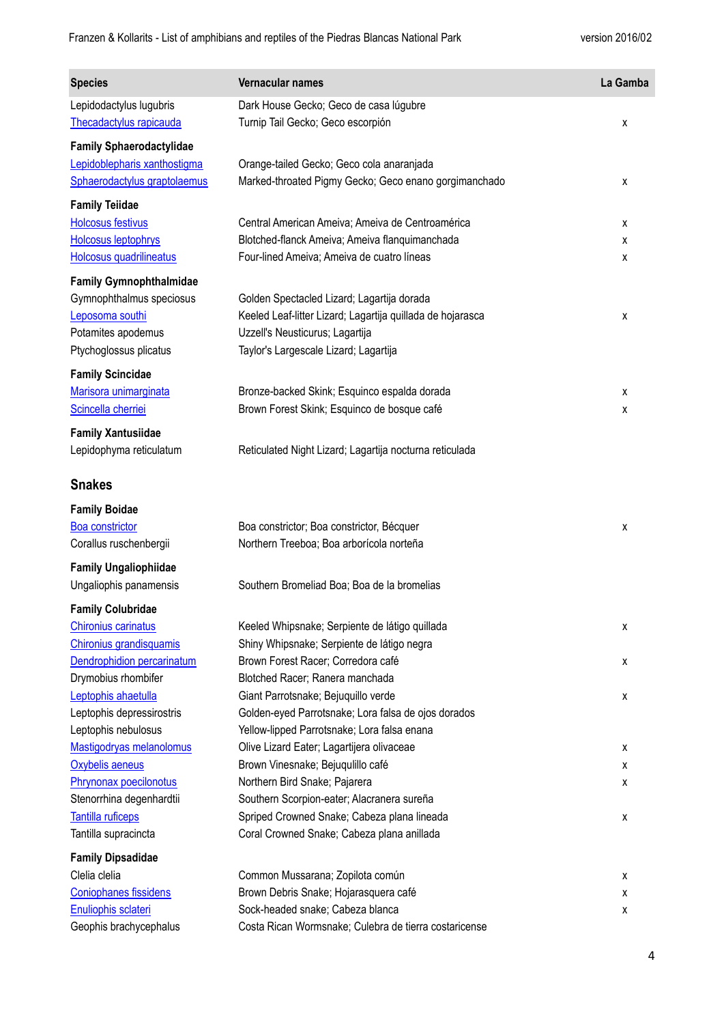| <b>Species</b>                                     | Vernacular names                                                            | La Gamba |
|----------------------------------------------------|-----------------------------------------------------------------------------|----------|
| Lepidodactylus lugubris<br>Thecadactylus rapicauda | Dark House Gecko; Geco de casa lúgubre<br>Turnip Tail Gecko; Geco escorpión | х        |
| <b>Family Sphaerodactylidae</b>                    |                                                                             |          |
| Lepidoblepharis xanthostigma                       | Orange-tailed Gecko; Geco cola anaranjada                                   |          |
| Sphaerodactylus graptolaemus                       | Marked-throated Pigmy Gecko; Geco enano gorgimanchado                       | x        |
| <b>Family Teiidae</b>                              |                                                                             |          |
| <b>Holcosus festivus</b>                           | Central American Ameiva; Ameiva de Centroamérica                            | х        |
| <b>Holcosus leptophrys</b>                         | Blotched-flanck Ameiva; Ameiva flanquimanchada                              | х        |
| Holcosus quadrilineatus                            | Four-lined Ameiva; Ameiva de cuatro líneas                                  | х        |
| <b>Family Gymnophthalmidae</b>                     |                                                                             |          |
| Gymnophthalmus speciosus                           | Golden Spectacled Lizard; Lagartija dorada                                  |          |
| Leposoma southi                                    | Keeled Leaf-litter Lizard; Lagartija quillada de hojarasca                  | х        |
| Potamites apodemus                                 | Uzzell's Neusticurus; Lagartija                                             |          |
| Ptychoglossus plicatus                             | Taylor's Largescale Lizard; Lagartija                                       |          |
| <b>Family Scincidae</b>                            |                                                                             |          |
| Marisora unimarginata                              | Bronze-backed Skink; Esquinco espalda dorada                                | x        |
| Scincella cherriei                                 | Brown Forest Skink; Esquinco de bosque café                                 | x        |
| <b>Family Xantusiidae</b>                          |                                                                             |          |
| Lepidophyma reticulatum                            | Reticulated Night Lizard; Lagartija nocturna reticulada                     |          |
| <b>Snakes</b>                                      |                                                                             |          |
| <b>Family Boidae</b>                               |                                                                             |          |
| Boa constrictor                                    | Boa constrictor; Boa constrictor, Bécquer                                   | х        |
| Corallus ruschenbergii                             | Northern Treeboa; Boa arborícola norteña                                    |          |
| <b>Family Ungaliophiidae</b>                       |                                                                             |          |
| Ungaliophis panamensis                             | Southern Bromeliad Boa; Boa de la bromelias                                 |          |
| <b>Family Colubridae</b>                           |                                                                             |          |
| <b>Chironius carinatus</b>                         | Keeled Whipsnake; Serpiente de látigo quillada                              | х        |
| Chironius grandisquamis                            | Shiny Whipsnake; Serpiente de látigo negra                                  |          |
| Dendrophidion percarinatum                         | Brown Forest Racer; Corredora café                                          | х        |
| Drymobius rhombifer                                | Blotched Racer; Ranera manchada                                             |          |
| Leptophis ahaetulla                                | Giant Parrotsnake; Bejuquillo verde                                         | х        |
| Leptophis depressirostris                          | Golden-eyed Parrotsnake; Lora falsa de ojos dorados                         |          |
| Leptophis nebulosus                                | Yellow-lipped Parrotsnake; Lora falsa enana                                 |          |
| Mastigodryas melanolomus<br>Oxybelis aeneus        | Olive Lizard Eater; Lagartijera olivaceae                                   | х        |
| Phrynonax poecilonotus                             | Brown Vinesnake; Bejuqulillo café<br>Northern Bird Snake; Pajarera          | x<br>х   |
| Stenorrhina degenhardtii                           | Southern Scorpion-eater; Alacranera sureña                                  |          |
| <b>Tantilla ruficeps</b>                           | Spriped Crowned Snake; Cabeza plana lineada                                 | х        |
| Tantilla supracincta                               | Coral Crowned Snake; Cabeza plana anillada                                  |          |
| <b>Family Dipsadidae</b>                           |                                                                             |          |
| Clelia clelia                                      | Common Mussarana; Zopilota común                                            | х        |
| <b>Coniophanes fissidens</b>                       | Brown Debris Snake; Hojarasquera café                                       | х        |
| Enuliophis sclateri                                | Sock-headed snake; Cabeza blanca                                            | х        |
| Geophis brachycephalus                             | Costa Rican Wormsnake; Culebra de tierra costaricense                       |          |